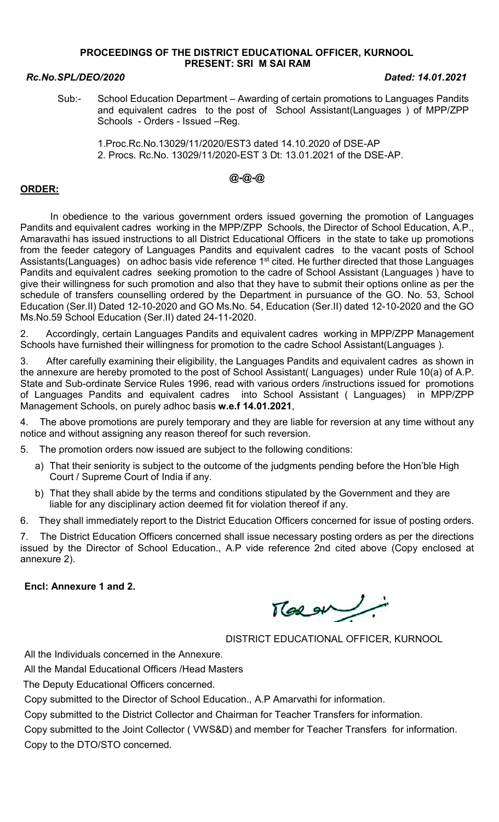#### PROCEEDINGS OF THE DISTRICT EDUCATIONAL OFFICER, KURNOOL PRESENT: SRI M SAI RAM

#### Rc.No.SPL/DEO/2020 Dated: 14.01.2021

Sub:- School Education Department – Awarding of certain promotions to Languages Pandits and equivalent cadres to the post of School Assistant(Languages ) of MPP/ZPP Schools - Orders - Issued –Reg.

 1.Proc.Rc.No.13029/11/2020/EST3 dated 14.10.2020 of DSE-AP 2. Procs. Rc.No. 13029/11/2020-EST 3 Dt: 13.01.2021 of the DSE-AP.

# @-@-@

## ORDER:

 In obedience to the various government orders issued governing the promotion of Languages Pandits and equivalent cadres working in the MPP/ZPP Schools, the Director of School Education, A.P., Amaravathi has issued instructions to all District Educational Officers in the state to take up promotions from the feeder category of Languages Pandits and equivalent cadres to the vacant posts of School Assistants(Languages) on adhoc basis vide reference 1<sup>st</sup> cited. He further directed that those Languages Pandits and equivalent cadres seeking promotion to the cadre of School Assistant (Languages ) have to give their willingness for such promotion and also that they have to submit their options online as per the schedule of transfers counselling ordered by the Department in pursuance of the GO. No. 53, School Education (Ser.II) Dated 12-10-2020 and GO Ms.No. 54, Education (Ser.II) dated 12-10-2020 and the GO Ms.No.59 School Education (Ser.II) dated 24-11-2020.

2. Accordingly, certain Languages Pandits and equivalent cadres working in MPP/ZPP Management Schools have furnished their willingness for promotion to the cadre School Assistant(Languages ).

3. After carefully examining their eligibility, the Languages Pandits and equivalent cadres as shown in the annexure are hereby promoted to the post of School Assistant( Languages) under Rule 10(a) of A.P. State and Sub-ordinate Service Rules 1996, read with various orders /instructions issued for promotions of Languages Pandits and equivalent cadres into School Assistant ( Languages) in MPP/ZPP Management Schools, on purely adhoc basis w.e.f 14.01.2021,

4. The above promotions are purely temporary and they are liable for reversion at any time without any notice and without assigning any reason thereof for such reversion.

5. The promotion orders now issued are subject to the following conditions:

- a) That their seniority is subject to the outcome of the judgments pending before the Hon'ble High Court / Supreme Court of India if any.
- b) That they shall abide by the terms and conditions stipulated by the Government and they are liable for any disciplinary action deemed fit for violation thereof if any.

6. They shall immediately report to the District Education Officers concerned for issue of posting orders.

7. The District Education Officers concerned shall issue necessary posting orders as per the directions issued by the Director of School Education., A.P vide reference 2nd cited above (Copy enclosed at annexure 2).

### Encl: Annexure 1 and 2.

Tlaegu

DISTRICT EDUCATIONAL OFFICER, KURNOOL

All the Individuals concerned in the Annexure.

All the Mandal Educational Officers /Head Masters

The Deputy Educational Officers concerned.

Copy submitted to the Director of School Education., A.P Amarvathi for information.

Copy submitted to the District Collector and Chairman for Teacher Transfers for information.

Copy submitted to the Joint Collector ( VWS&D) and member for Teacher Transfers for information. Copy to the DTO/STO concerned.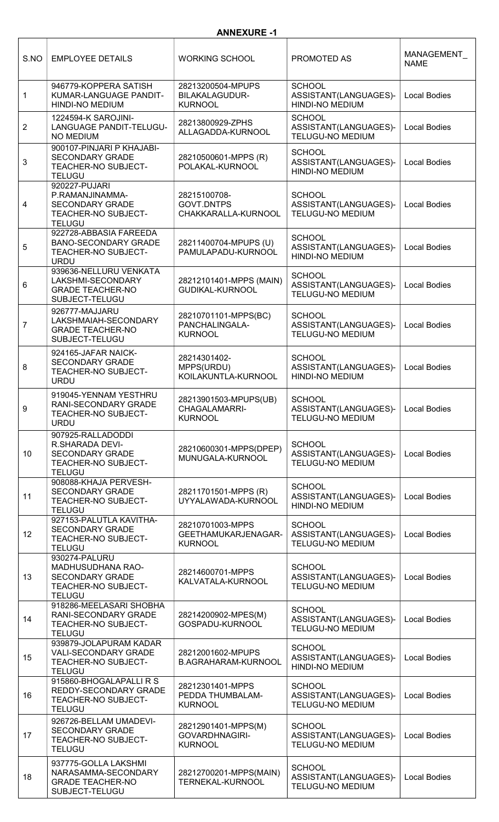### ANNEXURE -1

| S.NO                    | <b>EMPLOYEE DETAILS</b>                                                                                       | <b>WORKING SCHOOL</b>                                           | PROMOTED AS                                                       | MANAGEMENT<br><b>NAME</b> |
|-------------------------|---------------------------------------------------------------------------------------------------------------|-----------------------------------------------------------------|-------------------------------------------------------------------|---------------------------|
| 1                       | 946779-KOPPERA SATISH<br>KUMAR-LANGUAGE PANDIT-<br><b>HINDI-NO MEDIUM</b>                                     | 28213200504-MPUPS<br><b>BILAKALAGUDUR-</b><br><b>KURNOOL</b>    | <b>SCHOOL</b><br>ASSISTANT(LANGUAGES)-<br>HINDI-NO MEDIUM         | <b>Local Bodies</b>       |
| $\overline{2}$          | 1224594-K SAROJINI-<br>LANGUAGE PANDIT-TELUGU-<br><b>NO MEDIUM</b>                                            | 28213800929-ZPHS<br>ALLAGADDA-KURNOOL                           | <b>SCHOOL</b><br>ASSISTANT(LANGUAGES)-<br>TELUGU-NO MEDIUM        | <b>Local Bodies</b>       |
| 3                       | 900107-PINJARI P KHAJABI-<br><b>SECONDARY GRADE</b><br>TEACHER-NO SUBJECT-<br><b>TELUGU</b>                   | 28210500601-MPPS (R)<br>POLAKAL-KURNOOL                         | <b>SCHOOL</b><br>ASSISTANT(LANGUAGES)-<br>HINDI-NO MEDIUM         | <b>Local Bodies</b>       |
| $\overline{\mathbf{4}}$ | 920227-PUJARI<br>P.RAMANJINAMMA-<br><b>SECONDARY GRADE</b><br>TEACHER-NO SUBJECT-<br><b>TELUGU</b>            | 28215100708-<br>GOVT.DNTPS<br>CHAKKARALLA-KURNOOL               | <b>SCHOOL</b><br>ASSISTANT(LANGUAGES)-<br><b>TELUGU-NO MEDIUM</b> | <b>Local Bodies</b>       |
| 5                       | 922728-ABBASIA FAREEDA<br><b>BANO-SECONDARY GRADE</b><br>TEACHER-NO SUBJECT-<br><b>URDU</b>                   | 28211400704-MPUPS (U)<br>PAMULAPADU-KURNOOL                     | <b>SCHOOL</b><br>ASSISTANT(LANGUAGES)-<br><b>HINDI-NO MEDIUM</b>  | <b>Local Bodies</b>       |
| 6                       | 939636-NELLURU VENKATA<br>LAKSHMI-SECONDARY<br><b>GRADE TEACHER-NO</b><br>SUBJECT-TELUGU                      | 28212101401-MPPS (MAIN)<br><b>GUDIKAL-KURNOOL</b>               | <b>SCHOOL</b><br>ASSISTANT(LANGUAGES)-<br>TELUGU-NO MEDIUM        | <b>Local Bodies</b>       |
| $\overline{7}$          | 926777-MAJJARU<br>LAKSHMAIAH-SECONDARY<br><b>GRADE TEACHER-NO</b><br>SUBJECT-TELUGU                           | 28210701101-MPPS(BC)<br>PANCHALINGALA-<br><b>KURNOOL</b>        | <b>SCHOOL</b><br>ASSISTANT(LANGUAGES)-<br>TELUGU-NO MEDIUM        | <b>Local Bodies</b>       |
| 8                       | 924165-JAFAR NAICK-<br><b>SECONDARY GRADE</b><br>TEACHER-NO SUBJECT-<br><b>URDU</b>                           | 28214301402-<br>MPPS(URDU)<br>KOILAKUNTLA-KURNOOL               | <b>SCHOOL</b><br>ASSISTANT(LANGUAGES)-<br><b>HINDI-NO MEDIUM</b>  | <b>Local Bodies</b>       |
| 9                       | 919045-YENNAM YESTHRU<br>RANI-SECONDARY GRADE<br>TEACHER-NO SUBJECT-<br><b>URDU</b>                           | 28213901503-MPUPS(UB)<br><b>CHAGALAMARRI-</b><br><b>KURNOOL</b> | <b>SCHOOL</b><br>ASSISTANT(LANGUAGES)-<br>TELUGU-NO MEDIUM        | <b>Local Bodies</b>       |
| 10 <sup>1</sup>         | 907925-RALLADODDI<br>R.SHARADA DEVI-<br><b>SECONDARY GRADE</b><br><b>TEACHER-NO SUBJECT-</b><br><b>TELUGU</b> | 28210600301-MPPS(DPEP)<br>MUNUGALA-KURNOOL                      | <b>SCHOOL</b><br>ASSISTANT(LANGUAGES)-<br>TELUGU-NO MEDIUM        | <b>Local Bodies</b>       |
| 11                      | 908088-KHAJA PERVESH-<br><b>SECONDARY GRADE</b><br>TEACHER-NO SUBJECT-<br><b>TELUGU</b>                       | 28211701501-MPPS (R)<br>UYYALAWADA-KURNOOL                      | <b>SCHOOL</b><br>ASSISTANT(LANGUAGES)-<br><b>HINDI-NO MEDIUM</b>  | <b>Local Bodies</b>       |
| 12                      | 927153-PALUTLA KAVITHA-<br><b>SECONDARY GRADE</b><br>TEACHER-NO SUBJECT-<br><b>TELUGU</b>                     | 28210701003-MPPS<br>GEETHAMUKARJENAGAR-<br><b>KURNOOL</b>       | <b>SCHOOL</b><br>ASSISTANT(LANGUAGES)-<br>TELUGU-NO MEDIUM        | <b>Local Bodies</b>       |
| 13                      | 930274-PALURU<br>MADHUSUDHANA RAO-<br><b>SECONDARY GRADE</b><br>TEACHER-NO SUBJECT-<br><b>TELUGU</b>          | 28214600701-MPPS<br>KALVATALA-KURNOOL                           | <b>SCHOOL</b><br>ASSISTANT(LANGUAGES)-<br><b>TELUGU-NO MEDIUM</b> | <b>Local Bodies</b>       |
| 14                      | 918286-MEELASARI SHOBHA<br>RANI-SECONDARY GRADE<br>TEACHER-NO SUBJECT-<br><b>TELUGU</b>                       | 28214200902-MPES(M)<br>GOSPADU-KURNOOL                          | <b>SCHOOL</b><br>ASSISTANT(LANGUAGES)-<br>TELUGU-NO MEDIUM        | <b>Local Bodies</b>       |
| 15                      | 939879-JOLAPURAM KADAR<br><b>VALI-SECONDARY GRADE</b><br>TEACHER-NO SUBJECT-<br><b>TELUGU</b>                 | 28212001602-MPUPS<br><b>B.AGRAHARAM-KURNOOL</b>                 | <b>SCHOOL</b><br>ASSISTANT(LANGUAGES)-<br><b>HINDI-NO MEDIUM</b>  | <b>Local Bodies</b>       |
| 16                      | 915860-BHOGALAPALLIRS<br>REDDY-SECONDARY GRADE<br>TEACHER-NO SUBJECT-<br><b>TELUGU</b>                        | 28212301401-MPPS<br>PEDDA THUMBALAM-<br><b>KURNOOL</b>          | <b>SCHOOL</b><br>ASSISTANT(LANGUAGES)-<br>TELUGU-NO MEDIUM        | <b>Local Bodies</b>       |
| 17                      | 926726-BELLAM UMADEVI-<br><b>SECONDARY GRADE</b><br>TEACHER-NO SUBJECT-<br><b>TELUGU</b>                      | 28212901401-MPPS(M)<br>GOVARDHNAGIRI-<br><b>KURNOOL</b>         | <b>SCHOOL</b><br>ASSISTANT(LANGUAGES)-<br><b>TELUGU-NO MEDIUM</b> | <b>Local Bodies</b>       |
| 18                      | 937775-GOLLA LAKSHMI<br>NARASAMMA-SECONDARY<br><b>GRADE TEACHER-NO</b><br>SUBJECT-TELUGU                      | 28212700201-MPPS(MAIN)<br>TERNEKAL-KURNOOL                      | <b>SCHOOL</b><br>ASSISTANT(LANGUAGES)-<br>TELUGU-NO MEDIUM        | <b>Local Bodies</b>       |